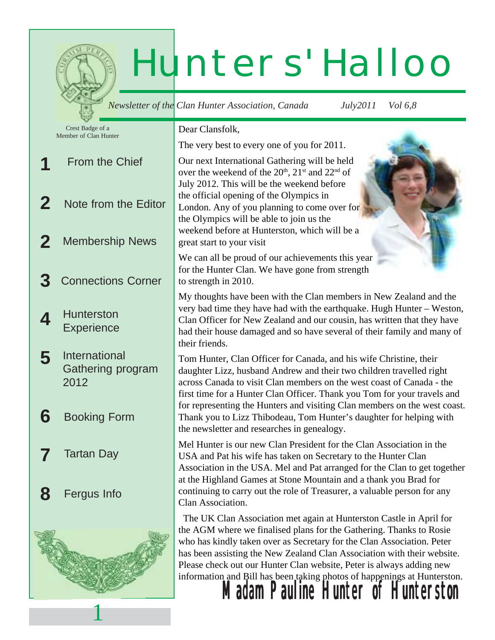# Hunters' Halloo

|        |                                                                          | <b>Newsletter of the Clan Hunter Association, Canada</b>                                                                                                                                                                                                                                                                                                                                                                                                                                         | July2011 | <i>Vol</i> 6,8 |
|--------|--------------------------------------------------------------------------|--------------------------------------------------------------------------------------------------------------------------------------------------------------------------------------------------------------------------------------------------------------------------------------------------------------------------------------------------------------------------------------------------------------------------------------------------------------------------------------------------|----------|----------------|
|        | Crest Badge of a<br>Member of Clan Hunter                                | Dear Clansfolk,                                                                                                                                                                                                                                                                                                                                                                                                                                                                                  |          |                |
|        |                                                                          | The very best to every one of you for 2011.                                                                                                                                                                                                                                                                                                                                                                                                                                                      |          |                |
|        | <b>From the Chief</b>                                                    | Our next International Gathering will be held<br>over the weekend of the 20 <sup>th</sup> , 21 <sup>st</sup> and 22 <sup>nd</sup> of<br>July 2012. This will be the weekend before                                                                                                                                                                                                                                                                                                               |          |                |
|        | Note from the Editor                                                     | the official opening of the Olympics in<br>London. Any of you planning to come over for<br>the Olympics will be able to join us the<br>weekend before at Hunterston, which will be a                                                                                                                                                                                                                                                                                                             |          |                |
|        | <b>Membership News</b>                                                   | great start to your visit                                                                                                                                                                                                                                                                                                                                                                                                                                                                        |          |                |
|        | <b>Connections Corner</b>                                                | We can all be proud of our achievements this year<br>for the Hunter Clan. We have gone from strength<br>to strength in 2010.                                                                                                                                                                                                                                                                                                                                                                     |          |                |
|        | <b>Hunterston</b><br><b>Experience</b>                                   | My thoughts have been with the Clan members in New Zealand and the<br>very bad time they have had with the earthquake. Hugh Hunter - Weston,<br>Clan Officer for New Zealand and our cousin, has written that they have<br>had their house damaged and so have several of their family and many of<br>their friends.                                                                                                                                                                             |          |                |
| 5<br>6 | <b>International</b><br>Gathering program<br>2012<br><b>Booking Form</b> | Tom Hunter, Clan Officer for Canada, and his wife Christine, their<br>daughter Lizz, husband Andrew and their two children travelled right<br>across Canada to visit Clan members on the west coast of Canada - the<br>first time for a Hunter Clan Officer. Thank you Tom for your travels and<br>for representing the Hunters and visiting Clan members on the west coast.<br>Thank you to Lizz Thibodeau, Tom Hunter's daughter for helping with                                              |          |                |
|        | <b>Tartan Day</b>                                                        | the newsletter and researches in genealogy.<br>Mel Hunter is our new Clan President for the Clan Association in the<br>USA and Pat his wife has taken on Secretary to the Hunter Clan<br>Association in the USA. Mel and Pat arranged for the Clan to get together<br>at the Highland Games at Stone Mountain and a thank you Brad for<br>continuing to carry out the role of Treasurer, a valuable person for any                                                                               |          |                |
| 8      | Fergus Info                                                              | Clan Association.                                                                                                                                                                                                                                                                                                                                                                                                                                                                                |          |                |
|        |                                                                          | The UK Clan Association met again at Hunterston Castle in April for<br>the AGM where we finalised plans for the Gathering. Thanks to Rosie<br>who has kindly taken over as Secretary for the Clan Association. Peter<br>has been assisting the New Zealand Clan Association with their website.<br>Please check out our Hunter Clan website, Peter is always adding new<br>information and Bill has been taking photos of happenings at Hunterston.<br><b>Madam Pauline Hunter of Hunterston</b> |          |                |
|        |                                                                          |                                                                                                                                                                                                                                                                                                                                                                                                                                                                                                  |          |                |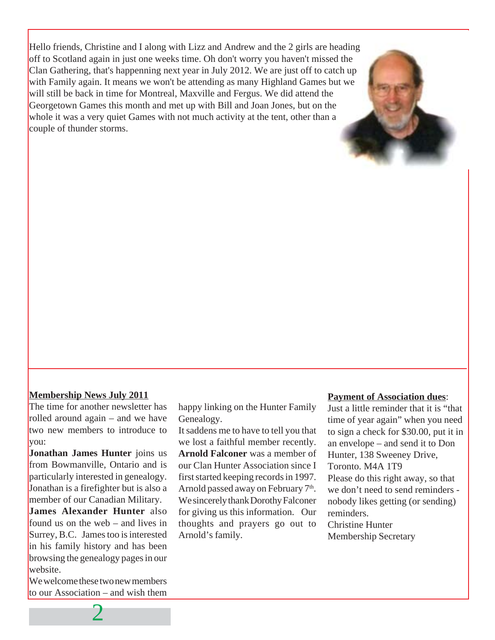Hello friends, Christine and I along with Lizz and Andrew and the 2 girls are heading off to Scotland again in just one weeks time. Oh don't worry you haven't missed the Clan Gathering, that's happenning next year in July 2012. We are just off to catch up with Family again. It means we won't be attending as many Highland Games but we will still be back in time for Montreal, Maxville and Fergus. We did attend the Georgetown Games this month and met up with Bill and Joan Jones, but on the whole it was a very quiet Games with not much activity at the tent, other than a couple of thunder storms.

#### **Membership News July 2011**

The time for another newsletter has rolled around again – and we have two new members to introduce to you:

**Jonathan James Hunter** joins us from Bowmanville, Ontario and is particularly interested in genealogy. Jonathan is a firefighter but is also a member of our Canadian Military.

**James Alexander Hunter** also found us on the web – and lives in Surrey, B.C. James too is interested in his family history and has been browsing the genealogy pages in our website.

We welcome these two new members to our Association – and wish them

2

happy linking on the Hunter Family Genealogy.

It saddens me to have to tell you that we lost a faithful member recently. **Arnold Falconer** was a member of our Clan Hunter Association since I first started keeping records in 1997. Arnold passed away on February  $7<sup>th</sup>$ . We sincerely thank Dorothy Falconer for giving us this information. Our thoughts and prayers go out to Arnold's family.

#### **Payment of Association dues**:

Just a little reminder that it is "that time of year again" when you need to sign a check for \$30.00, put it in an envelope – and send it to Don Hunter, 138 Sweeney Drive, Toronto. M4A 1T9 Please do this right away, so that we don't need to send reminders nobody likes getting (or sending) reminders. Christine Hunter Membership Secretary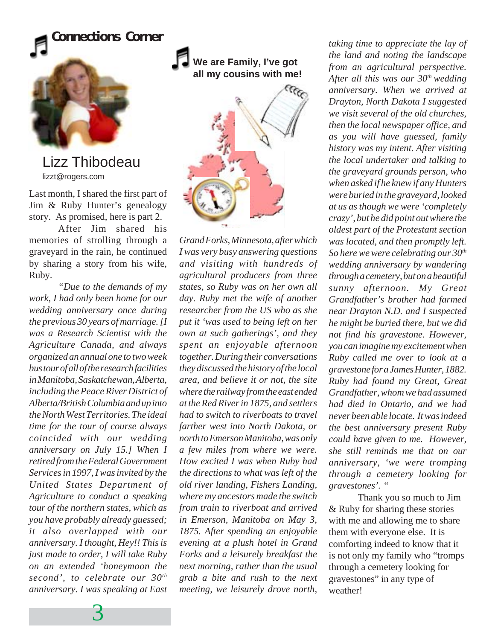



Lizz Thibodeau lizzt@rogers.com

Last month, I shared the first part of Jim & Ruby Hunter's genealogy story. As promised, here is part 2.

After Jim shared his memories of strolling through a graveyard in the rain, he continued by sharing a story from his wife, Ruby.

*"Due to the demands of my work, I had only been home for our wedding anniversary once during the previous 30 years of marriage. [I was a Research Scientist with the Agriculture Canada, and always organized an annual one to two week bus tour of all of the research facilities in Manitoba, Saskatchewan, Alberta, including the Peace River District of Alberta/British Columbia and up into the North West Territories. The ideal time for the tour of course always coincided with our wedding anniversary on July 15.] When I retired from the Federal Government Services in 1997, I was invited by the United States Department of Agriculture to conduct a speaking tour of the northern states, which as you have probably already guessed; it also overlapped with our anniversary. I thought, Hey!! This is just made to order, I will take Ruby on an extended 'honeymoon the second', to celebrate our 30th anniversary. I was speaking at East*



*Grand Forks, Minnesota, after which I was very busy answering questions and visiting with hundreds of agricultural producers from three states, so Ruby was on her own all day. Ruby met the wife of another researcher from the US who as she put it 'was used to being left on her own at such gatherings', and they spent an enjoyable afternoon together. During their conversations they discussed the history of the local area, and believe it or not, the site where the railway from the east ended at the Red River in 1875, and settlers had to switch to riverboats to travel farther west into North Dakota, or north to Emerson Manitoba, was only a few miles from where we were. How excited I was when Ruby had the directions to what was left of the old river landing, Fishers Landing, where my ancestors made the switch from train to riverboat and arrived in Emerson, Manitoba on May 3, 1875. After spending an enjoyable evening at a plush hotel in Grand Forks and a leisurely breakfast the next morning, rather than the usual grab a bite and rush to the next meeting, we leisurely drove north,*

*taking time to appreciate the lay of the land and noting the landscape from an agricultural perspective. After all this was our 30th wedding anniversary. When we arrived at Drayton, North Dakota I suggested we visit several of the old churches, then the local newspaper office, and as you will have guessed, family history was my intent. After visiting the local undertaker and talking to the graveyard grounds person, who when asked if he knew if any Hunters were buried in the graveyard, looked at us as though we were 'completely crazy', but he did point out where the oldest part of the Protestant section was located, and then promptly left. So here we were celebrating our 30th wedding anniversary by wandering through a cemetery, but on a beautiful sunny afternoon. My Great Grandfather's brother had farmed near Drayton N.D. and I suspected he might be buried there, but we did not find his gravestone. However, you can imagine my excitement when Ruby called me over to look at a gravestone for a James Hunter, 1882. Ruby had found my Great, Great Grandfather, whom we had assumed had died in Ontario, and we had never been able locate. It was indeed the best anniversary present Ruby could have given to me. However, she still reminds me that on our anniversary, 'we were tromping through a cemetery looking for gravestones'. "*

Thank you so much to Jim & Ruby for sharing these stories with me and allowing me to share them with everyone else. It is comforting indeed to know that it is not only my family who "tromps through a cemetery looking for gravestones" in any type of weather!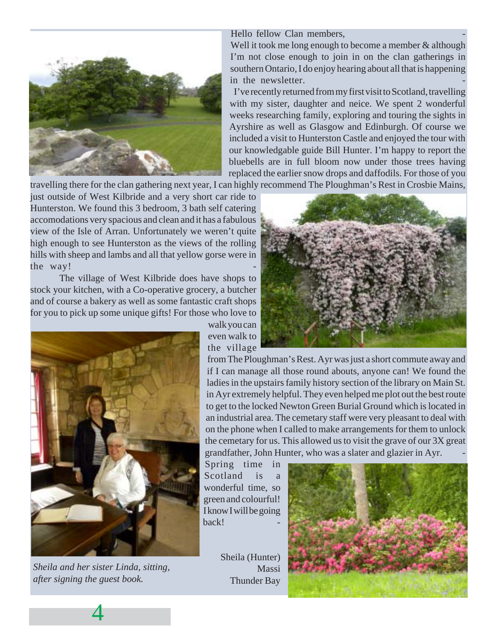

Hello fellow Clan members.

Well it took me long enough to become a member & although I'm not close enough to join in on the clan gatherings in southern Ontario, I do enjoy hearing about all that is happening in the newsletter.

I've recently returned from my first visit to Scotland, travelling with my sister, daughter and neice. We spent 2 wonderful weeks researching family, exploring and touring the sights in Ayrshire as well as Glasgow and Edinburgh. Of course we included a visit to Hunterston Castle and enjoyed the tour with our knowledgable guide Bill Hunter. I'm happy to report the bluebells are in full bloom now under those trees having replaced the earlier snow drops and daffodils. For those of you

travelling there for the clan gathering next year, I can highly recommend The Ploughman's Rest in Crosbie Mains,

just outside of West Kilbride and a very short car ride to Hunterston. We found this 3 bedroom, 3 bath self catering accomodations very spacious and clean and it has a fabulous view of the Isle of Arran. Unfortunately we weren't quite high enough to see Hunterston as the views of the rolling hills with sheep and lambs and all that yellow gorse were in the way!

The village of West Kilbride does have shops to stock your kitchen, with a Co-operative grocery, a butcher and of course a bakery as well as some fantastic craft shops for you to pick up some unique gifts! For those who love to



*Sheila and her sister Linda, sitting, after signing the guest book.*

4

walk you can even walk to the village



from The Ploughman's Rest. Ayr was just a short commute away and if I can manage all those round abouts, anyone can! We found the ladies in the upstairs family history section of the library on Main St. in Ayr extremely helpful. They even helped me plot out the best route to get to the locked Newton Green Burial Ground which is located in an industrial area. The cemetary staff were very pleasant to deal with on the phone when I called to make arrangements for them to unlock the cemetary for us. This allowed us to visit the grave of our 3X great grandfather, John Hunter, who was a slater and glazier in Ayr. -

Spring time in  $Scotland$  is wonderful time, so green and colourful! I know I will be going hack!

Sheila (Hunter) Massi Thunder Bay

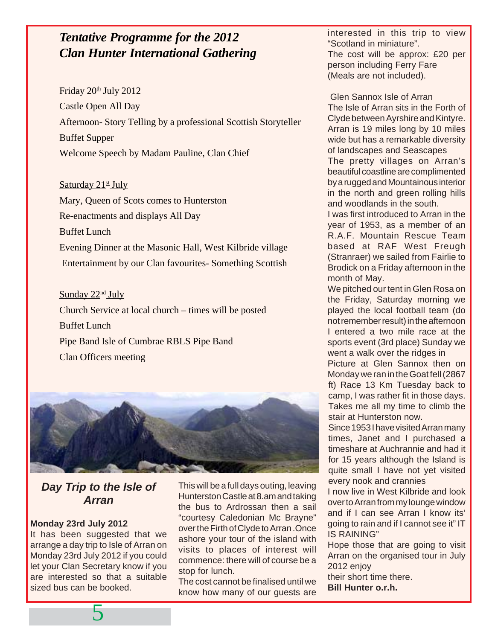#### *Tentative Programme for the 2012 Clan Hunter International Gathering*

#### Friday  $20^{\text{th}}$  July  $2012$

Castle Open All Day Afternoon- Story Telling by a professional Scottish Storyteller Buffet Supper Welcome Speech by Madam Pauline, Clan Chief

#### Saturday 21<sup>st</sup> July

Mary, Queen of Scots comes to Hunterston Re-enactments and displays All Day Buffet Lunch Evening Dinner at the Masonic Hall, West Kilbride village Entertainment by our Clan favourites- Something Scottish

#### Sunday 22<sup>nd</sup> July

Church Service at local church – times will be posted Buffet Lunch Pipe Band Isle of Cumbrae RBLS Pipe Band Clan Officers meeting



#### **Day Trip to the Isle of Arran**

#### **Monday 23rd July 2012**

It has been suggested that we arrange a day trip to Isle of Arran on Monday 23rd July 2012 if you could let your Clan Secretary know if you are interested so that a suitable sized bus can be booked.

5

This will be a full days outing, leaving Hunterston Castle at 8.am and taking the bus to Ardrossan then a sail "courtesy Caledonian Mc Brayne" over the Firth of Clyde to Arran .Once ashore your tour of the island with visits to places of interest will commence: there will of course be a stop for lunch.

The cost cannot be finalised until we know how many of our guests are

interested in this trip to view "Scotland in miniature". The cost will be approx: £20 per person including Ferry Fare (Meals are not included).

 Glen Sannox Isle of Arran The Isle of Arran sits in the Forth of Clyde between Ayrshire and Kintyre. Arran is 19 miles long by 10 miles wide but has a remarkable diversity of landscapes and Seascapes The pretty villages on Arran's beautiful coastline are complimented by a rugged and Mountainous interior in the north and green rolling hills and woodlands in the south.

I was first introduced to Arran in the year of 1953, as a member of an R.A.F. Mountain Rescue Team based at RAF West Freugh (Stranraer) we sailed from Fairlie to Brodick on a Friday afternoon in the month of May.

We pitched our tent in Glen Rosa on the Friday, Saturday morning we played the local football team (do not remember result) in the afternoon I entered a two mile race at the sports event (3rd place) Sunday we went a walk over the ridges in Picture at Glen Sannox then on Monday we ran in the Goat fell (2867 ft) Race 13 Km Tuesday back to camp, I was rather fit in those days. Takes me all my time to climb the stair at Hunterston now.

Since 1953 I have visited Arran many times, Janet and I purchased a timeshare at Auchrannie and had it for 15 years although the Island is quite small I have not yet visited every nook and crannies

I now live in West Kilbride and look over to Arran from my lounge window and if I can see Arran I know its' going to rain and if I cannot see it" IT IS RAINING"

Hope those that are going to visit Arran on the organised tour in July 2012 enjoy

their short time there. **Bill Hunter o.r.h.**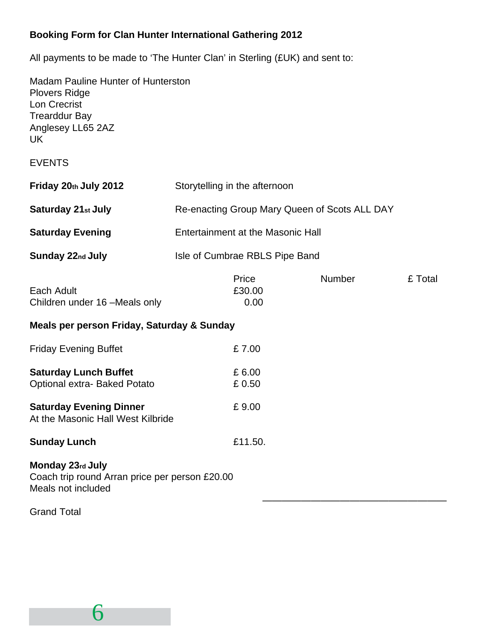#### **Booking Form for Clan Hunter International Gathering 2012**

All payments to be made to 'The Hunter Clan' in Sterling (£UK) and sent to:

Madam Pauline Hunter of Hunterston Plovers Ridge Lon Crecrist Trearddur Bay Anglesey LL65 2AZ UK

EVENTS

| Friday 20th July 2012     | Storytelling in the afternoon                 |
|---------------------------|-----------------------------------------------|
| <b>Saturday 21st July</b> | Re-enacting Group Mary Queen of Scots ALL DAY |
| <b>Saturday Evening</b>   | Entertainment at the Masonic Hall             |
| <b>Sunday 22nd July</b>   | Isle of Cumbrae RBLS Pipe Band                |

|                               | Price  | Number | £ Total |
|-------------------------------|--------|--------|---------|
| Each Adult                    | £30.00 |        |         |
| Children under 16 -Meals only | 0.00   |        |         |

———————————————————

#### **Meals per person Friday, Saturday & Sunday**

| <b>Friday Evening Buffet</b>                                        | £7.00           |
|---------------------------------------------------------------------|-----------------|
| <b>Saturday Lunch Buffet</b><br>Optional extra-Baked Potato         | £6.00<br>£ 0.50 |
| <b>Saturday Evening Dinner</b><br>At the Masonic Hall West Kilbride | £9.00           |
| <b>Sunday Lunch</b>                                                 | £11.50.         |

**Monday 23rd July** Coach trip round Arran price per person £20.00 Meals not included

Grand Total

6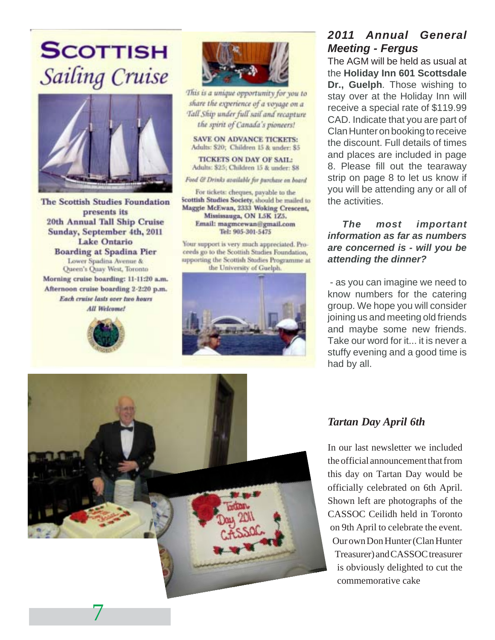## **SCOTTISH** Sailing Cruise



**The Scottish Studies Foundation** presents its 20th Annual Tall Ship Cruise Sunday, September 4th, 2011 Lake Ontario **Boarding at Spadina Pier** Lower Spadina Avenue & Queen's Quay West, Toronto Morning cruise boarding: 11-11:20 a.m. Afternoon cruise boarding 2-2:20 p.m. Each cruise lasts over two hours **All Welcome!** 





This is a unique opportunity for you to share the experience of a voyage on a Tall Ship under full sail and recapture the spirit of Canada's pioneers!

**SAVE ON ADVANCE TICKETS:** Adults: \$20; Children 15 & under: \$5

**TICKETS ON DAY OF SAIL:** Adults: \$25; Children 15 & under: \$8

Food & Drinks available for purchase on board

For tickets: cheques, payable to the Scottish Studies Society, should be mailed to Maggie McEwan, 2333 Woking Crescent, Mississauga, ON L5K 1Z5. Email: magmcewan@gmail.com Tel: 905-301-5475

Your support is very much appreciated. Proceeds go to the Scottish Studies Foundation. upporting the Scottish Studies Programme at the University of Guelph.



#### **2011 Annual General Meeting - Fergus**

The AGM will be held as usual at the **Holiday Inn 601 Scottsdale Dr., Guelph**. Those wishing to stay over at the Holiday Inn will receive a special rate of \$119.99 CAD. Indicate that you are part of Clan Hunter on booking to receive the discount. Full details of times and places are included in page 8. Please fill out the tearaway strip on page 8 to let us know if you will be attending any or all of the activities.

#### **The most important information as far as numbers are concerned is - will you be attending the dinner?**

 - as you can imagine we need to know numbers for the catering group. We hope you will consider joining us and meeting old friends and maybe some new friends. Take our word for it... it is never a stuffy evening and a good time is had by all.



#### *Tartan Day April 6th*

In our last newsletter we included the official announcement that from this day on Tartan Day would be officially celebrated on 6th April. Shown left are photographs of the CASSOC Ceilidh held in Toronto on 9th April to celebrate the event. Our own Don Hunter (Clan Hunter Treasurer) and CASSOC treasurer is obviously delighted to cut the commemorative cake